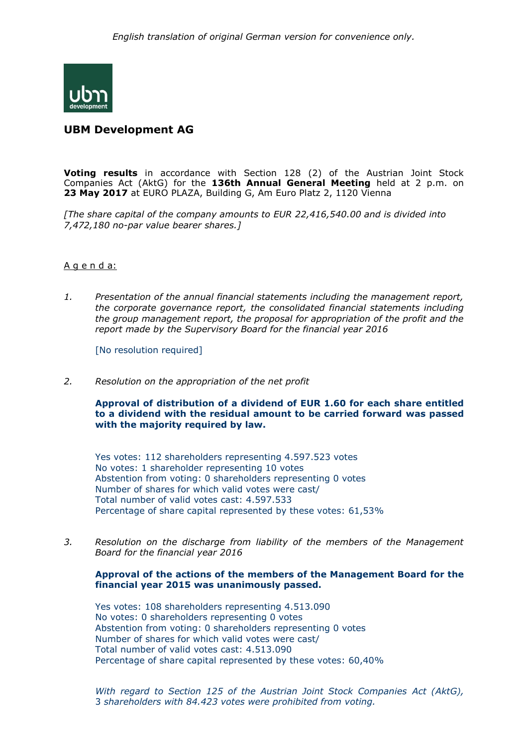

# **UBM Development AG**

**Voting results** in accordance with Section 128 (2) of the Austrian Joint Stock Companies Act (AktG) for the **136th Annual General Meeting** held at 2 p.m. on **23 May 2017** at EURO PLAZA, Building G, Am Euro Platz 2, 1120 Vienna

*[The share capital of the company amounts to EUR 22,416,540.00 and is divided into 7,472,180 no-par value bearer shares.]*

### A g e n d a:

*1. Presentation of the annual financial statements including the management report, the corporate governance report, the consolidated financial statements including the group management report, the proposal for appropriation of the profit and the report made by the Supervisory Board for the financial year 2016*

[No resolution required]

*2. Resolution on the appropriation of the net profit*

**Approval of distribution of a dividend of EUR 1.60 for each share entitled to a dividend with the residual amount to be carried forward was passed with the majority required by law.**

Yes votes: 112 shareholders representing 4.597.523 votes No votes: 1 shareholder representing 10 votes [Abstention](http://www.dict.cc/englisch-deutsch/abstention.html) [from](http://www.dict.cc/englisch-deutsch/from.html) [voting:](http://www.dict.cc/englisch-deutsch/voting.html) 0 shareholders representing 0 votes Number of shares for which valid votes were cast/ Total number of valid votes cast: 4.597.533 Percentage of share capital represented by these votes: 61,53%

*3. Resolution on the discharge from liability of the members of the Management Board for the financial year 2016*

## **Approval of the actions of the members of the Management Board for the financial year 2015 was unanimously passed.**

Yes votes: 108 shareholders representing 4.513.090 No votes: 0 shareholders representing 0 votes [Abstention](http://www.dict.cc/englisch-deutsch/abstention.html) [from](http://www.dict.cc/englisch-deutsch/from.html) [voting:](http://www.dict.cc/englisch-deutsch/voting.html) 0 shareholders representing 0 votes Number of shares for which valid votes were cast/ Total number of valid votes cast: 4.513.090 Percentage of share capital represented by these votes: 60,40%

*With regard to Section 125 of the Austrian Joint Stock Companies Act (AktG),*  3 *shareholders with 84.423 votes were prohibited from voting.*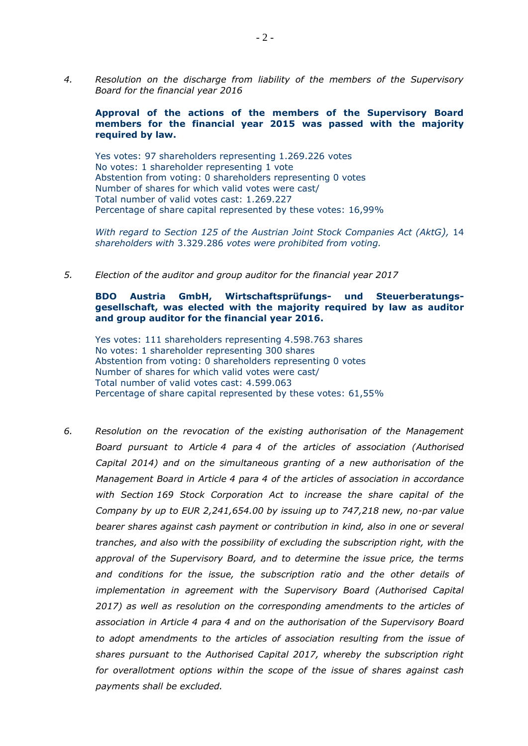*4. Resolution on the discharge from liability of the members of the Supervisory Board for the financial year 2016*

## **Approval of the actions of the members of the Supervisory Board members for the financial year 2015 was passed with the majority required by law.**

Yes votes: 97 shareholders representing 1.269.226 votes No votes: 1 shareholder representing 1 vote [Abstention](http://www.dict.cc/englisch-deutsch/abstention.html) [from](http://www.dict.cc/englisch-deutsch/from.html) [voting:](http://www.dict.cc/englisch-deutsch/voting.html) 0 shareholders representing 0 votes Number of shares for which valid votes were cast/ Total number of valid votes cast: 1.269.227 Percentage of share capital represented by these votes: 16,99%

*With regard to Section 125 of the Austrian Joint Stock Companies Act (AktG),* 14 *shareholders with* 3.329.286 *votes were prohibited from voting.*

*5. Election of the auditor and group auditor for the financial year 2017*

## **BDO Austria GmbH, Wirtschaftsprüfungs- und Steuerberatungsgesellschaft, was elected with the majority required by law as auditor and group auditor for the financial year 2016.**

Yes votes: 111 shareholders representing 4.598.763 shares No votes: 1 shareholder representing 300 shares [Abstention](http://www.dict.cc/englisch-deutsch/abstention.html) [from](http://www.dict.cc/englisch-deutsch/from.html) [voting:](http://www.dict.cc/englisch-deutsch/voting.html) 0 shareholders representing 0 votes Number of shares for which valid votes were cast/ Total number of valid votes cast: 4.599.063 Percentage of share capital represented by these votes: 61,55%

*6. Resolution on the revocation of the existing authorisation of the Management Board pursuant to Article 4 para 4 of the articles of association (Authorised Capital 2014) and on the simultaneous granting of a new authorisation of the Management Board in Article 4 para 4 of the articles of association in accordance with Section 169 Stock Corporation Act to increase the share capital of the Company by up to EUR 2,241,654.00 by issuing up to 747,218 new, no-par value bearer shares against cash payment or contribution in kind, also in one or several tranches, and also with the possibility of excluding the subscription right, with the approval of the Supervisory Board, and to determine the issue price, the terms and conditions for the issue, the subscription ratio and the other details of implementation in agreement with the Supervisory Board (Authorised Capital 2017) as well as resolution on the corresponding amendments to the articles of association in Article 4 para 4 and on the authorisation of the Supervisory Board to adopt amendments to the articles of association resulting from the issue of shares pursuant to the Authorised Capital 2017, whereby the subscription right for overallotment options within the scope of the issue of shares against cash payments shall be excluded.*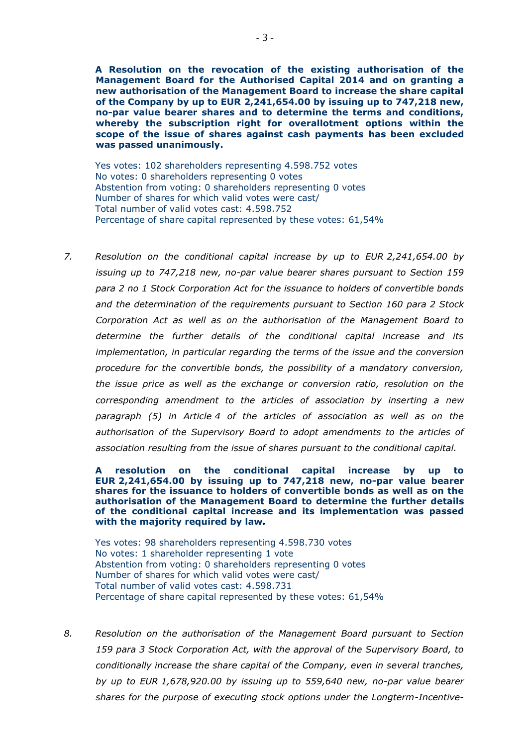**A Resolution on the revocation of the existing authorisation of the Management Board for the Authorised Capital 2014 and on granting a new authorisation of the Management Board to increase the share capital of the Company by up to EUR 2,241,654.00 by issuing up to 747,218 new, no-par value bearer shares and to determine the terms and conditions, whereby the subscription right for overallotment options within the scope of the issue of shares against cash payments has been excluded was passed unanimously.**

Yes votes: 102 shareholders representing 4.598.752 votes No votes: 0 shareholders representing 0 votes [Abstention](http://www.dict.cc/englisch-deutsch/abstention.html) [from](http://www.dict.cc/englisch-deutsch/from.html) [voting:](http://www.dict.cc/englisch-deutsch/voting.html) 0 shareholders representing 0 votes Number of shares for which valid votes were cast/ Total number of valid votes cast: 4.598.752 Percentage of share capital represented by these votes: 61,54%

*7. Resolution on the conditional capital increase by up to EUR 2,241,654.00 by issuing up to 747,218 new, no-par value bearer shares pursuant to Section 159 para 2 no 1 Stock Corporation Act for the issuance to holders of convertible bonds and the determination of the requirements pursuant to Section 160 para 2 Stock Corporation Act as well as on the authorisation of the Management Board to determine the further details of the conditional capital increase and its implementation, in particular regarding the terms of the issue and the conversion procedure for the convertible bonds, the possibility of a mandatory conversion, the issue price as well as the exchange or conversion ratio, resolution on the corresponding amendment to the articles of association by inserting a new paragraph (5) in Article 4 of the articles of association as well as on the authorisation of the Supervisory Board to adopt amendments to the articles of association resulting from the issue of shares pursuant to the conditional capital.*

**A resolution on the conditional capital increase by up to EUR 2,241,654.00 by issuing up to 747,218 new, no-par value bearer shares for the issuance to holders of convertible bonds as well as on the authorisation of the Management Board to determine the further details of the conditional capital increase and its implementation was passed with the majority required by law***.*

Yes votes: 98 shareholders representing 4.598.730 votes No votes: 1 shareholder representing 1 vote [Abstention](http://www.dict.cc/englisch-deutsch/abstention.html) [from](http://www.dict.cc/englisch-deutsch/from.html) [voting:](http://www.dict.cc/englisch-deutsch/voting.html) 0 shareholders representing 0 votes Number of shares for which valid votes were cast/ Total number of valid votes cast: 4.598.731 Percentage of share capital represented by these votes: 61,54%

*8. Resolution on the authorisation of the Management Board pursuant to Section 159 para 3 Stock Corporation Act, with the approval of the Supervisory Board, to conditionally increase the share capital of the Company, even in several tranches, by up to EUR 1,678,920.00 by issuing up to 559,640 new, no-par value bearer shares for the purpose of executing stock options under the Longterm-Incentive-*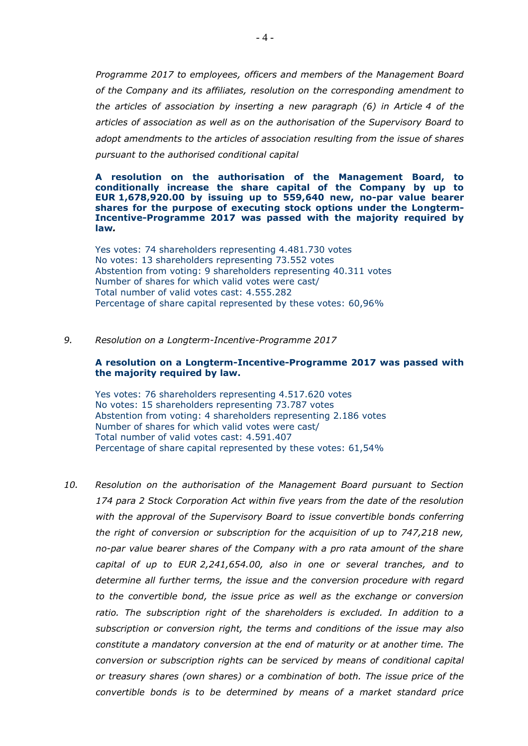*Programme 2017 to employees, officers and members of the Management Board of the Company and its affiliates, resolution on the corresponding amendment to the articles of association by inserting a new paragraph (6) in Article 4 of the articles of association as well as on the authorisation of the Supervisory Board to adopt amendments to the articles of association resulting from the issue of shares pursuant to the authorised conditional capital*

**A resolution on the authorisation of the Management Board, to conditionally increase the share capital of the Company by up to EUR 1,678,920.00 by issuing up to 559,640 new, no-par value bearer shares for the purpose of executing stock options under the Longterm-Incentive-Programme 2017 was passed with the majority required by law***.*

Yes votes: 74 shareholders representing 4.481.730 votes No votes: 13 shareholders representing 73.552 votes [Abstention](http://www.dict.cc/englisch-deutsch/abstention.html) [from](http://www.dict.cc/englisch-deutsch/from.html) [voting:](http://www.dict.cc/englisch-deutsch/voting.html) 9 shareholders representing 40.311 votes Number of shares for which valid votes were cast/ Total number of valid votes cast: 4.555.282 Percentage of share capital represented by these votes: 60,96%

#### *9. Resolution on a Longterm-Incentive-Programme 2017*

#### **A resolution on a Longterm-Incentive-Programme 2017 was passed with the majority required by law.**

Yes votes: 76 shareholders representing 4.517.620 votes No votes: 15 shareholders representing 73.787 votes [Abstention](http://www.dict.cc/englisch-deutsch/abstention.html) [from](http://www.dict.cc/englisch-deutsch/from.html) [voting:](http://www.dict.cc/englisch-deutsch/voting.html) 4 shareholders representing 2.186 votes Number of shares for which valid votes were cast/ Total number of valid votes cast: 4.591.407 Percentage of share capital represented by these votes: 61,54%

*10. Resolution on the authorisation of the Management Board pursuant to Section 174 para 2 Stock Corporation Act within five years from the date of the resolution with the approval of the Supervisory Board to issue convertible bonds conferring the right of conversion or subscription for the acquisition of up to 747,218 new, no-par value bearer shares of the Company with a pro rata amount of the share capital of up to EUR 2,241,654.00, also in one or several tranches, and to determine all further terms, the issue and the conversion procedure with regard to the convertible bond, the issue price as well as the exchange or conversion ratio. The subscription right of the shareholders is excluded. In addition to a subscription or conversion right, the terms and conditions of the issue may also constitute a mandatory conversion at the end of maturity or at another time. The conversion or subscription rights can be serviced by means of conditional capital or treasury shares (own shares) or a combination of both. The issue price of the convertible bonds is to be determined by means of a market standard price*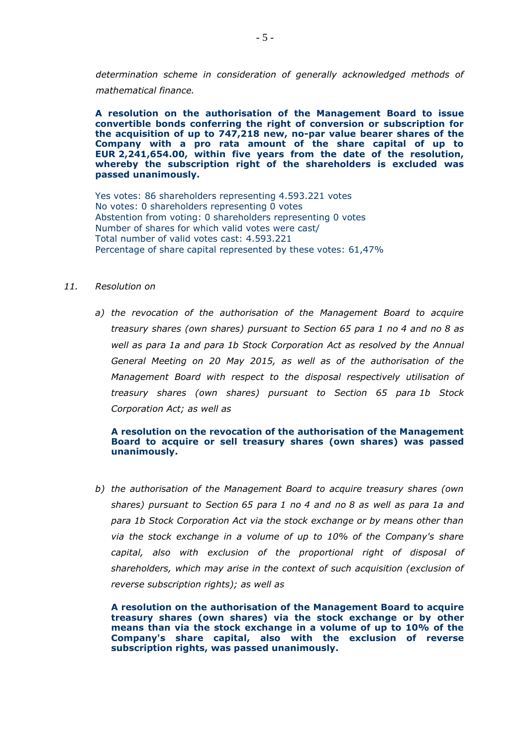*determination scheme in consideration of generally acknowledged methods of mathematical finance.*

**A resolution on the authorisation of the Management Board to issue convertible bonds conferring the right of conversion or subscription for the acquisition of up to 747,218 new, no-par value bearer shares of the Company with a pro rata amount of the share capital of up to EUR 2,241,654.00, within five years from the date of the resolution, whereby the subscription right of the shareholders is excluded was passed unanimously.**

Yes votes: 86 shareholders representing 4.593.221 votes No votes: 0 shareholders representing 0 votes [Abstention](http://www.dict.cc/englisch-deutsch/abstention.html) [from](http://www.dict.cc/englisch-deutsch/from.html) [voting:](http://www.dict.cc/englisch-deutsch/voting.html) 0 shareholders representing 0 votes Number of shares for which valid votes were cast/ Total number of valid votes cast: 4.593.221 Percentage of share capital represented by these votes: 61,47%

#### *11. Resolution on*

*a) the revocation of the authorisation of the Management Board to acquire treasury shares (own shares) pursuant to Section 65 para 1 no 4 and no 8 as well as para 1a and para 1b Stock Corporation Act as resolved by the Annual General Meeting on 20 May 2015, as well as of the authorisation of the Management Board with respect to the disposal respectively utilisation of treasury shares (own shares) pursuant to Section 65 para 1b Stock Corporation Act; as well as*

## **A resolution on the revocation of the authorisation of the Management Board to acquire or sell treasury shares (own shares) was passed unanimously.**

*b) the authorisation of the Management Board to acquire treasury shares (own shares) pursuant to Section 65 para 1 no 4 and no 8 as well as para 1a and para 1b Stock Corporation Act via the stock exchange or by means other than via the stock exchange in a volume of up to 10% of the Company's share capital, also with exclusion of the proportional right of disposal of shareholders, which may arise in the context of such acquisition (exclusion of reverse subscription rights); as well as*

**A resolution on the authorisation of the Management Board to acquire treasury shares (own shares) via the stock exchange or by other means than via the stock exchange in a volume of up to 10% of the Company's share capital, also with the exclusion of reverse subscription rights, was passed unanimously.**